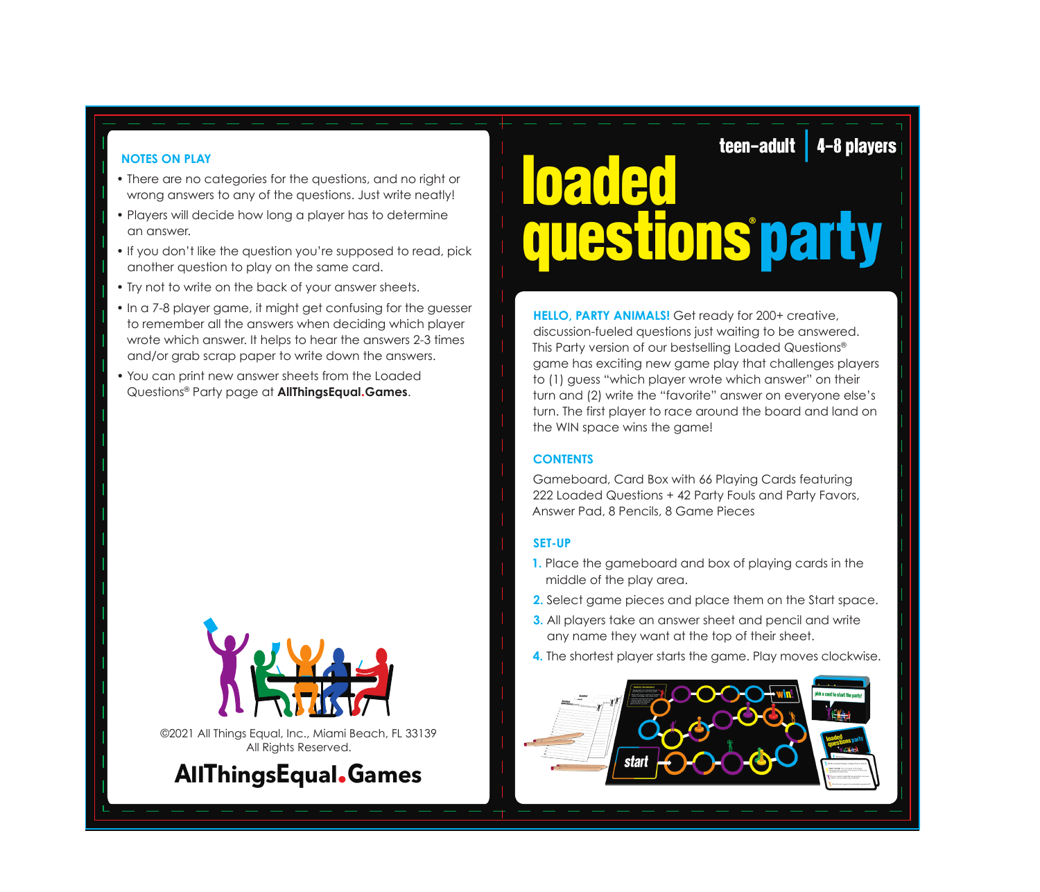### **NOTES ON PLAY**

- There are no categories for the questions, and no right or wrong answers to any of the questions. Just write neatly!
- Players will decide how long a player has to determine an answer.
- If you don't like the question you're supposed to read, pick another question to play on the same card.
- Try not to write on the back of your answer sheets.
- In a 7-8 player game, it might get confusing for the guesser to remember all the answers when deciding which player wrote which answer. It helps to hear the answers 2-3 times and/or grab scrap paper to write down the answers.
- You can print new answer sheets from the Loaded Questions® Party page at **AllThingsEqual.Games**.



©2021 All Things Equal, Inc., Miami Beach, FL 33139 All Rights Reserved.



# loaded questions **®** part<sup>y</sup> teen-adult | 4-8 players

**HELLO, PARTY ANIMALS!** Get ready for 200+ creative, discussion-fueled questions just waiting to be answered. This Party version of our bestselling Loaded Questions® game has exciting new game play that challenges players to (1) guess "which player wrote which answer" on their turn and (2) write the "favorite" answer on everyone else's turn. The first player to race around the board and land on the WIN space wins the game!

## **CONTENTS**

Gameboard, Card Box with 66 Playing Cards featuring 222 Loaded Questions + 42 Party Fouls and Party Favors, Answer Pad, 8 Pencils, 8 Game Pieces

#### **SET-UP**

- **1.** Place the gameboard and box of playing cards in the middle of the play area.
- **2.** Select game pieces and place them on the Start space.
- **3.** All players take an answer sheet and pencil and write any name they want at the top of their sheet.
- **4.** The shortest player starts the game. Play moves clockwise.